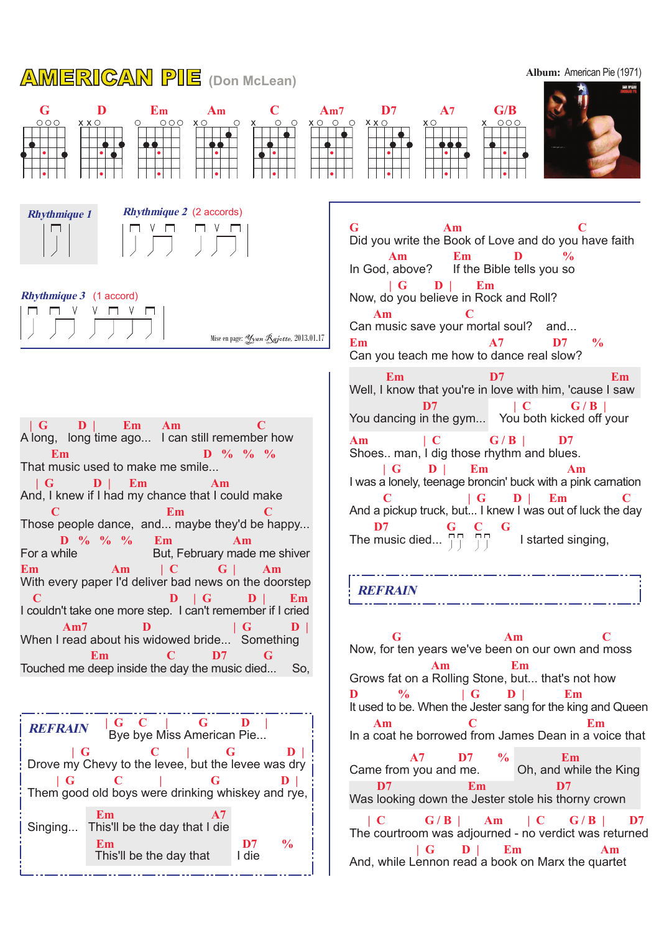